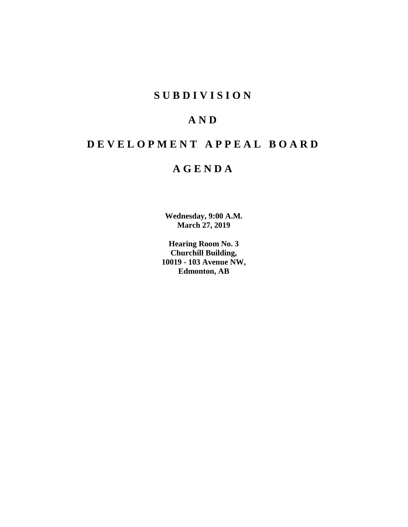# **SUBDIVISION**

# **AND**

# **DEVELOPMENT APPEAL BOARD**

# **AGENDA**

**Wednesday, 9:00 A.M. March 27, 2019**

**Hearing Room No. 3 Churchill Building, 10019 - 103 Avenue NW, Edmonton, AB**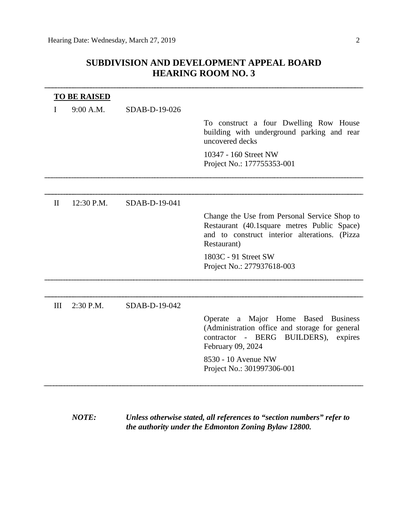# **SUBDIVISION AND DEVELOPMENT APPEAL BOARD HEARING ROOM NO. 3**

|              | <b>TO BE RAISED</b> |               |                                                                                                                                                              |
|--------------|---------------------|---------------|--------------------------------------------------------------------------------------------------------------------------------------------------------------|
|              | 9:00 A.M.           | SDAB-D-19-026 |                                                                                                                                                              |
|              |                     |               | To construct a four Dwelling Row House<br>building with underground parking and rear<br>uncovered decks                                                      |
|              |                     |               | 10347 - 160 Street NW<br>Project No.: 177755353-001                                                                                                          |
|              |                     |               |                                                                                                                                                              |
| $\mathbf{I}$ | 12:30 P.M.          | SDAB-D-19-041 |                                                                                                                                                              |
|              |                     |               | Change the Use from Personal Service Shop to<br>Restaurant (40.1 square metres Public Space)<br>and to construct interior alterations. (Pizza<br>Restaurant) |
|              |                     |               | 1803C - 91 Street SW<br>Project No.: 277937618-003                                                                                                           |
|              |                     |               |                                                                                                                                                              |
| III          | 2:30 P.M.           | SDAB-D-19-042 |                                                                                                                                                              |
|              |                     |               | Operate a Major Home Based<br><b>Business</b><br>(Administration office and storage for general<br>contractor - BERG BUILDERS), expires<br>February 09, 2024 |
|              |                     |               | 8530 - 10 Avenue NW<br>Project No.: 301997306-001                                                                                                            |
|              |                     |               |                                                                                                                                                              |

*NOTE: Unless otherwise stated, all references to "section numbers" refer to the authority under the Edmonton Zoning Bylaw 12800.*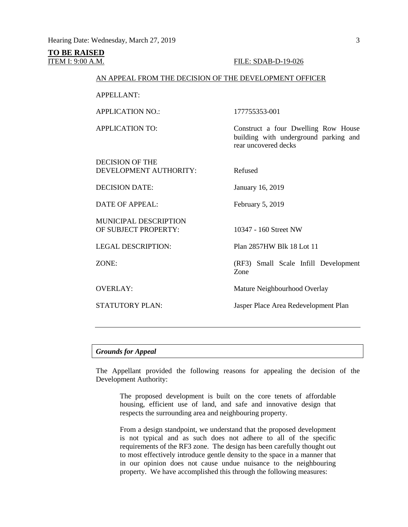# **TO BE RAISED**

# ITEM I: 9:00 A.M. FILE: SDAB-D-19-026

# AN APPEAL FROM THE DECISION OF THE DEVELOPMENT OFFICER

APPELLANT:

APPLICATION NO.: 177755353-001

APPLICATION TO: Construct a four Dwelling Row House

DECISION OF THE DEVELOPMENT AUTHORITY: Refused

DECISION DATE: January 16, 2019

DATE OF APPEAL: February 5, 2019

MUNICIPAL DESCRIPTION OF SUBJECT PROPERTY: 10347 - 160 Street NW

rear uncovered decks

LEGAL DESCRIPTION: Plan 2857HW Blk 18 Lot 11

ZONE: (RF3) Small Scale Infill Development Zone

building with underground parking and

OVERLAY: Mature Neighbourhood Overlay

STATUTORY PLAN: Jasper Place Area Redevelopment Plan

### *Grounds for Appeal*

The Appellant provided the following reasons for appealing the decision of the Development Authority:

The proposed development is built on the core tenets of affordable housing, efficient use of land, and safe and innovative design that respects the surrounding area and neighbouring property.

From a design standpoint, we understand that the proposed development is not typical and as such does not adhere to all of the specific requirements of the RF3 zone. The design has been carefully thought out to most effectively introduce gentle density to the space in a manner that in our opinion does not cause undue nuisance to the neighbouring property. We have accomplished this through the following measures: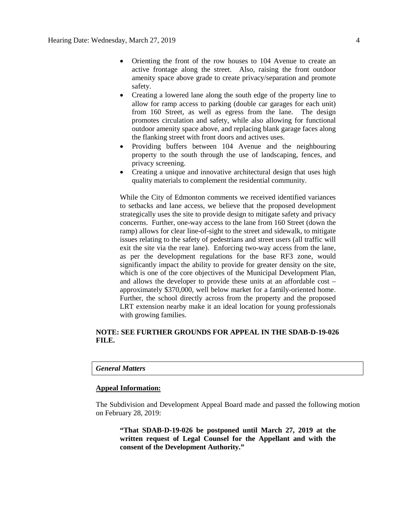- Orienting the front of the row houses to 104 Avenue to create an active frontage along the street. Also, raising the front outdoor amenity space above grade to create privacy/separation and promote safety.
- Creating a lowered lane along the south edge of the property line to allow for ramp access to parking (double car garages for each unit) from 160 Street, as well as egress from the lane. The design promotes circulation and safety, while also allowing for functional outdoor amenity space above, and replacing blank garage faces along the flanking street with front doors and actives uses.
- Providing buffers between 104 Avenue and the neighbouring property to the south through the use of landscaping, fences, and privacy screening.
- Creating a unique and innovative architectural design that uses high quality materials to complement the residential community.

While the City of Edmonton comments we received identified variances to setbacks and lane access, we believe that the proposed development strategically uses the site to provide design to mitigate safety and privacy concerns. Further, one-way access to the lane from 160 Street (down the ramp) allows for clear line-of-sight to the street and sidewalk, to mitigate issues relating to the safety of pedestrians and street users (all traffic will exit the site via the rear lane). Enforcing two-way access from the lane, as per the development regulations for the base RF3 zone, would significantly impact the ability to provide for greater density on the site, which is one of the core objectives of the Municipal Development Plan, and allows the developer to provide these units at an affordable cost – approximately \$370,000, well below market for a family-oriented home. Further, the school directly across from the property and the proposed LRT extension nearby make it an ideal location for young professionals with growing families.

# **NOTE: SEE FURTHER GROUNDS FOR APPEAL IN THE SDAB-D-19-026 FILE.**

## *General Matters*

# **Appeal Information:**

The Subdivision and Development Appeal Board made and passed the following motion on February 28, 2019:

**"That SDAB-D-19-026 be postponed until March 27, 2019 at the written request of Legal Counsel for the Appellant and with the consent of the Development Authority."**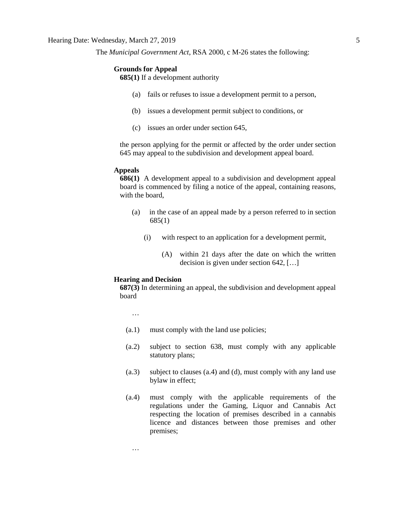The *Municipal Government Act*, RSA 2000, c M-26 states the following:

# **Grounds for Appeal**

**685(1)** If a development authority

- (a) fails or refuses to issue a development permit to a person,
- (b) issues a development permit subject to conditions, or
- (c) issues an order under section 645,

the person applying for the permit or affected by the order under section 645 may appeal to the subdivision and development appeal board.

#### **Appeals**

**686(1)** A development appeal to a subdivision and development appeal board is commenced by filing a notice of the appeal, containing reasons, with the board,

- (a) in the case of an appeal made by a person referred to in section 685(1)
	- (i) with respect to an application for a development permit,
		- (A) within 21 days after the date on which the written decision is given under section 642, […]

#### **Hearing and Decision**

**687(3)** In determining an appeal, the subdivision and development appeal board

…

…

- (a.1) must comply with the land use policies;
- (a.2) subject to section 638, must comply with any applicable statutory plans;
- (a.3) subject to clauses (a.4) and (d), must comply with any land use bylaw in effect;
- (a.4) must comply with the applicable requirements of the regulations under the Gaming, Liquor and Cannabis Act respecting the location of premises described in a cannabis licence and distances between those premises and other premises;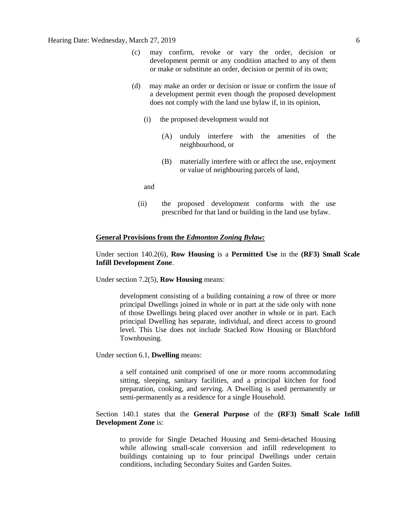- (c) may confirm, revoke or vary the order, decision or development permit or any condition attached to any of them or make or substitute an order, decision or permit of its own;
- (d) may make an order or decision or issue or confirm the issue of a development permit even though the proposed development does not comply with the land use bylaw if, in its opinion,
	- (i) the proposed development would not
		- (A) unduly interfere with the amenities of the neighbourhood, or
		- (B) materially interfere with or affect the use, enjoyment or value of neighbouring parcels of land,

and

(ii) the proposed development conforms with the use prescribed for that land or building in the land use bylaw.

# **General Provisions from the** *Edmonton Zoning Bylaw:*

# Under section 140.2(6), **Row Housing** is a **Permitted Use** in the **(RF3) Small Scale Infill Development Zone**.

Under section 7.2(5), **Row Housing** means:

development consisting of a building containing a row of three or more principal Dwellings joined in whole or in part at the side only with none of those Dwellings being placed over another in whole or in part. Each principal Dwelling has separate, individual, and direct access to ground level. This Use does not include Stacked Row Housing or Blatchford Townhousing.

Under section 6.1, **Dwelling** means:

a self contained unit comprised of one or more rooms accommodating sitting, sleeping, sanitary facilities, and a principal kitchen for food preparation, cooking, and serving. A Dwelling is used permanently or semi-permanently as a residence for a single Household.

# Section 140.1 states that the **General Purpose** of the **(RF3) Small Scale Infill Development Zone** is:

to provide for Single Detached Housing and Semi-detached Housing while allowing small-scale conversion and infill redevelopment to buildings containing up to four principal Dwellings under certain conditions, including Secondary Suites and Garden Suites.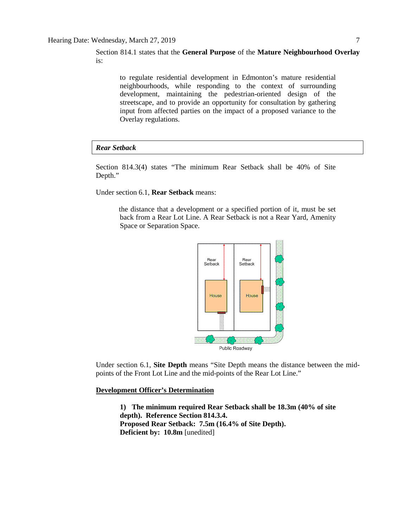Section 814.1 states that the **General Purpose** of the **Mature Neighbourhood Overlay** is:

> to regulate residential development in Edmonton's mature residential neighbourhoods, while responding to the context of surrounding development, maintaining the pedestrian-oriented design of the streetscape, and to provide an opportunity for consultation by gathering input from affected parties on the impact of a proposed variance to the Overlay regulations.

## *Rear Setback*

Section 814.3(4) states "The minimum Rear Setback shall be 40% of Site Depth."

Under section 6.1, **Rear Setback** means:

the distance that a development or a specified portion of it, must be set back from a Rear Lot Line. A Rear Setback is not a Rear Yard, Amenity Space or Separation Space.



Under section 6.1, **Site Depth** means "Site Depth means the distance between the midpoints of the Front Lot Line and the mid-points of the Rear Lot Line."

**Development Officer's Determination**

**1) The minimum required Rear Setback shall be 18.3m (40% of site depth). Reference Section 814.3.4. Proposed Rear Setback: 7.5m (16.4% of Site Depth). Deficient by: 10.8m** [unedited]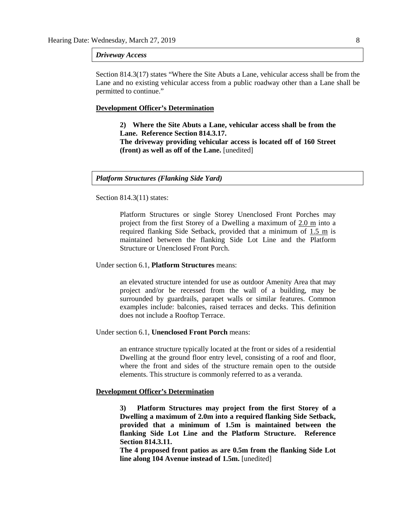#### *Driveway Access*

Section 814.3(17) states "Where the Site Abuts a Lane, vehicular access shall be from the Lane and no existing vehicular access from a public roadway other than a Lane shall be permitted to continue."

#### **Development Officer's Determination**

**2) Where the Site Abuts a Lane, vehicular access shall be from the Lane. Reference Section 814.3.17. The driveway providing vehicular access is located off of 160 Street (front) as well as off of the Lane.** [unedited]

### *Platform Structures (Flanking Side Yard)*

Section 814.3(11) states:

Platform Structures or single Storey Unenclosed Front Porches may project from the first Storey of a Dwelling a maximum of 2.0 m into a required flanking Side Setback, provided that a minimum of 1.5 m is maintained between the flanking Side Lot Line and the Platform Structure or Unenclosed Front Porch.

#### Under section 6.1, **Platform Structures** means:

an elevated structure intended for use as outdoor Amenity Area that may project and/or be recessed from the wall of a building, may be surrounded by guardrails, parapet walls or similar features. Common examples include: balconies, raised terraces and decks. This definition does not include a Rooftop Terrace.

#### Under section 6.1, **Unenclosed Front Porch** means:

an entrance structure typically located at the front or sides of a residential Dwelling at the ground floor entry level, consisting of a roof and floor, where the front and sides of the structure remain open to the outside elements. This structure is commonly referred to as a veranda.

# **Development Officer's Determination**

**3) Platform Structures may project from the first Storey of a Dwelling a maximum of 2.0m into a required flanking Side Setback, provided that a minimum of 1.5m is maintained between the flanking Side Lot Line and the Platform Structure. Reference Section 814.3.11.**

**The 4 proposed front patios as are 0.5m from the flanking Side Lot line along 104 Avenue instead of 1.5m.** [unedited]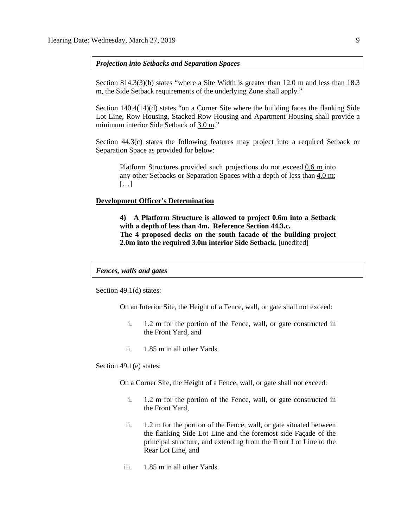*Projection into Setbacks and Separation Spaces*

Section 814.3(3)(b) states "where a Site Width is greater than 12.0 m and less than 18.3 m, the Side Setback requirements of the underlying Zone shall apply."

Section 140.4(14)(d) states "on a Corner Site where the building faces the flanking Side Lot Line, Row Housing, Stacked Row Housing and Apartment Housing shall provide a minimum interior Side Setback of 3.0 m."

Section 44.3(c) states the following features may project into a required Setback or Separation Space as provided for below:

Platform Structures provided such projections do not exceed [0.6 m](javascript:void(0);) into any other Setbacks or Separation Spaces with a depth of less than [4.0 m;](javascript:void(0);)  $[\dots]$ 

## **Development Officer's Determination**

**4) A Platform Structure is allowed to project 0.6m into a Setback with a depth of less than 4m. Reference Section 44.3.c. The 4 proposed decks on the south facade of the building project 2.0m into the required 3.0m interior Side Setback.** [unedited]

# *Fences, walls and gates*

Section 49.1(d) states:

On an Interior Site, the Height of a Fence, wall, or gate shall not exceed:

- i. 1.2 m for the portion of the Fence, wall, or gate constructed in the Front Yard, and
- ii. 1.85 m in all other Yards.

Section 49.1(e) states:

On a Corner Site, the Height of a Fence, wall, or gate shall not exceed:

- i. 1.2 m for the portion of the Fence, wall, or gate constructed in the Front Yard,
- ii. 1.2 m for the portion of the Fence, wall, or gate situated between the flanking Side Lot Line and the foremost side Façade of the principal structure, and extending from the Front Lot Line to the Rear Lot Line, and
- iii. 1.85 m in all other Yards.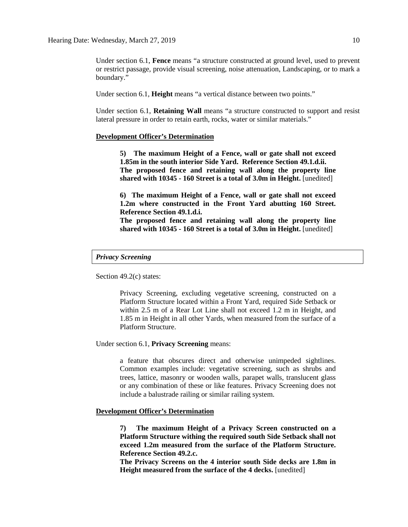Under section 6.1, **Fence** means "a structure constructed at ground level, used to prevent or restrict passage, provide visual screening, noise attenuation, Landscaping, or to mark a boundary."

Under section 6.1, **Height** means "a vertical distance between two points."

Under section 6.1, **Retaining Wall** means "a structure constructed to support and resist lateral pressure in order to retain earth, rocks, water or similar materials."

## **Development Officer's Determination**

**5) The maximum Height of a Fence, wall or gate shall not exceed 1.85m in the south interior Side Yard. Reference Section 49.1.d.ii. The proposed fence and retaining wall along the property line shared with 10345 - 160 Street is a total of 3.0m in Height.** [unedited]

**6) The maximum Height of a Fence, wall or gate shall not exceed 1.2m where constructed in the Front Yard abutting 160 Street. Reference Section 49.1.d.i.**

**The proposed fence and retaining wall along the property line shared with 10345 - 160 Street is a total of 3.0m in Height.** [unedited]

# *Privacy Screening*

Section 49.2(c) states:

Privacy Screening, excluding vegetative screening, constructed on a Platform Structure located within a Front Yard, required Side Setback or within 2.5 m of a Rear Lot Line shall not exceed 1.2 m in Height, and 1.85 m in Height in all other Yards, when measured from the surface of a Platform Structure.

Under section 6.1, **Privacy Screening** means:

a feature that obscures direct and otherwise unimpeded sightlines. Common examples include: vegetative screening, such as shrubs and trees, lattice, masonry or wooden walls, parapet walls, translucent glass or any combination of these or like features. Privacy Screening does not include a balustrade railing or similar railing system.

# **Development Officer's Determination**

**7) The maximum Height of a Privacy Screen constructed on a Platform Structure withing the required south Side Setback shall not exceed 1.2m measured from the surface of the Platform Structure. Reference Section 49.2.c.**

**The Privacy Screens on the 4 interior south Side decks are 1.8m in Height measured from the surface of the 4 decks.** [unedited]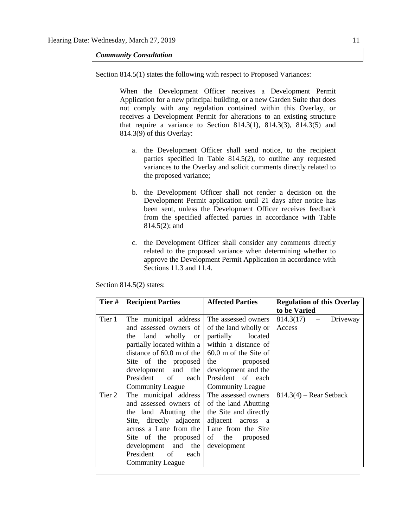*Community Consultation*

Section 814.5(1) states the following with respect to Proposed Variances:

When the Development Officer receives a Development Permit Application for a new principal building, or a new Garden Suite that does not comply with any regulation contained within this Overlay, or receives a Development Permit for alterations to an existing structure that require a variance to Section 814.3(1), 814.3(3), 814.3(5) and 814.3(9) of this Overlay:

- a. the Development Officer shall send notice, to the recipient parties specified in Table 814.5(2), to outline any requested variances to the Overlay and solicit comments directly related to the proposed variance;
- b. the Development Officer shall not render a decision on the Development Permit application until 21 days after notice has been sent, unless the Development Officer receives feedback from the specified affected parties in accordance with Table 814.5(2); and
- c. the Development Officer shall consider any comments directly related to the proposed variance when determining whether to approve the Development Permit Application in accordance with Sections 11.3 and 11.4.

| Tier#  | <b>Recipient Parties</b>                                                                                                                                                                                                                                                                                              | <b>Affected Parties</b>                                                                                                                                                   | <b>Regulation of this Overlay</b><br>to be Varied |
|--------|-----------------------------------------------------------------------------------------------------------------------------------------------------------------------------------------------------------------------------------------------------------------------------------------------------------------------|---------------------------------------------------------------------------------------------------------------------------------------------------------------------------|---------------------------------------------------|
| Tier 1 | The municipal address<br>and assessed owners of<br>the land wholly or partially<br>partially located within a<br>distance of 60.0 m of the $\vert$ 60.0 m of the Site of<br>Site of the proposed<br>development and the<br>President of each<br><b>Community League</b>                                               | The assessed owners<br>of the land wholly or<br>located<br>within a distance of<br>the<br>proposed<br>development and the<br>President of each<br><b>Community League</b> | 814.3(17)<br>Driveway<br>$\frac{1}{2}$<br>Access  |
| Tier 2 | The municipal address The assessed owners<br>and assessed owners of of the land Abutting<br>the land Abutting the the Site and directly<br>Site, directly adjacent<br>across a Lane from the   Lane from the Site<br>Site of the proposed<br>$development$ and the<br>President of<br>each<br><b>Community League</b> | adjacent across a<br>of the proposed<br>development                                                                                                                       | $814.3(4)$ – Rear Setback                         |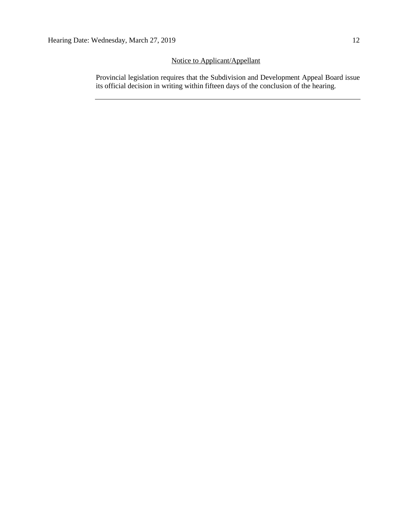# Notice to Applicant/Appellant

Provincial legislation requires that the Subdivision and Development Appeal Board issue its official decision in writing within fifteen days of the conclusion of the hearing.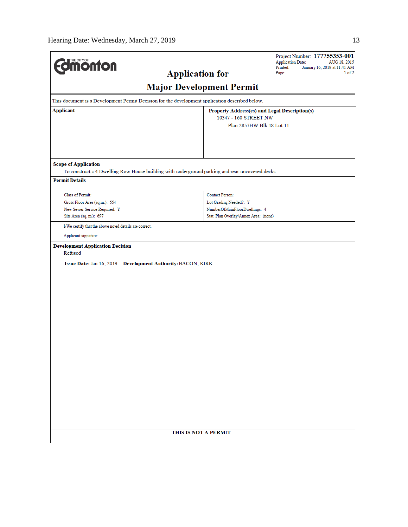| <b>Edmonton</b>                                                                                                   |                                       | Project Number: 177755353-001<br><b>Application Date:</b><br>AUG 18, 2015<br>Printed:<br>January 16, 2019 at 11:41 AM |
|-------------------------------------------------------------------------------------------------------------------|---------------------------------------|-----------------------------------------------------------------------------------------------------------------------|
|                                                                                                                   | <b>Application for</b>                | $1$ of $2$<br>Page:                                                                                                   |
|                                                                                                                   | <b>Major Development Permit</b>       |                                                                                                                       |
| This document is a Development Permit Decision for the development application described below.                   |                                       |                                                                                                                       |
| <b>Applicant</b>                                                                                                  | 10347 - 160 STREET NW                 | Property Address(es) and Legal Description(s)                                                                         |
|                                                                                                                   |                                       | Plan 2857HW Blk 18 Lot 11                                                                                             |
| <b>Scope of Application</b>                                                                                       |                                       |                                                                                                                       |
| To construct a 4 Dwelling Row House building with underground parking and rear uncovered decks.                   |                                       |                                                                                                                       |
| <b>Permit Details</b>                                                                                             |                                       |                                                                                                                       |
| Class of Permit:                                                                                                  | <b>Contact Person:</b>                |                                                                                                                       |
| Gross Floor Area (sq.m.): 554                                                                                     | Lot Grading Needed?: Y                |                                                                                                                       |
| New Sewer Service Required: Y                                                                                     | NumberOfMainFloorDwellings: 4         |                                                                                                                       |
| Site Area (sq. m.): 697                                                                                           | Stat. Plan Overlay/Annex Area: (none) |                                                                                                                       |
| I/We certify that the above noted details are correct.                                                            |                                       |                                                                                                                       |
| Applicant signature:                                                                                              |                                       |                                                                                                                       |
| <b>Development Application Decision</b><br>Refused<br>Issue Date: Jan 16, 2019 Development Authority: BACON, KIRK |                                       |                                                                                                                       |
|                                                                                                                   |                                       |                                                                                                                       |
|                                                                                                                   |                                       |                                                                                                                       |
|                                                                                                                   |                                       |                                                                                                                       |
|                                                                                                                   |                                       |                                                                                                                       |
|                                                                                                                   |                                       |                                                                                                                       |
|                                                                                                                   |                                       |                                                                                                                       |
|                                                                                                                   |                                       |                                                                                                                       |
|                                                                                                                   |                                       |                                                                                                                       |
|                                                                                                                   |                                       |                                                                                                                       |
|                                                                                                                   |                                       |                                                                                                                       |
|                                                                                                                   |                                       |                                                                                                                       |
|                                                                                                                   |                                       |                                                                                                                       |
|                                                                                                                   |                                       |                                                                                                                       |
|                                                                                                                   |                                       |                                                                                                                       |
|                                                                                                                   |                                       |                                                                                                                       |
|                                                                                                                   |                                       |                                                                                                                       |
|                                                                                                                   |                                       |                                                                                                                       |
|                                                                                                                   | THIS IS NOT A PERMIT                  |                                                                                                                       |
|                                                                                                                   |                                       |                                                                                                                       |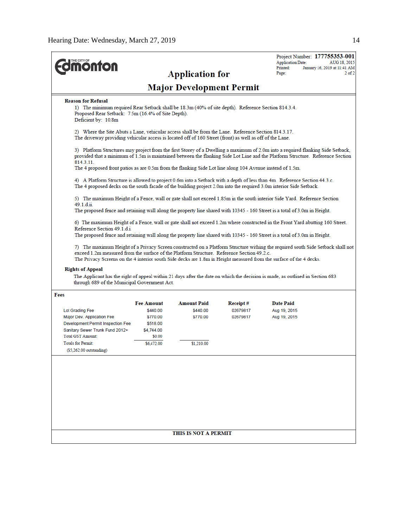| <b>onton</b>                                                                                                                                                                                                     |                      |                                 |                      | Project Number: 177755353-001<br><b>Application Date:</b><br>AUG 18, 2015<br>Printed:<br>January 16, 2019 at 11:41 AM                                                                                                                                             |  |
|------------------------------------------------------------------------------------------------------------------------------------------------------------------------------------------------------------------|----------------------|---------------------------------|----------------------|-------------------------------------------------------------------------------------------------------------------------------------------------------------------------------------------------------------------------------------------------------------------|--|
|                                                                                                                                                                                                                  |                      | <b>Application for</b>          |                      | $2$ of $2$<br>Page:                                                                                                                                                                                                                                               |  |
|                                                                                                                                                                                                                  |                      | <b>Major Development Permit</b> |                      |                                                                                                                                                                                                                                                                   |  |
| <b>Reason for Refusal</b>                                                                                                                                                                                        |                      |                                 |                      |                                                                                                                                                                                                                                                                   |  |
| 1) The minimum required Rear Setback shall be 18.3m (40% of site depth). Reference Section 814.3.4.<br>Proposed Rear Setback: 7.5m (16.4% of Site Depth).<br>Deficient by: 10.8m                                 |                      |                                 |                      |                                                                                                                                                                                                                                                                   |  |
| 2) Where the Site Abuts a Lane, vehicular access shall be from the Lane. Reference Section 814.3.17.<br>The driveway providing vehicular access is located off of 160 Street (front) as well as off of the Lane. |                      |                                 |                      |                                                                                                                                                                                                                                                                   |  |
| 814.3.11.                                                                                                                                                                                                        |                      |                                 |                      | 3) Platform Structures may project from the first Storey of a Dwelling a maximum of 2.0m into a required flanking Side Setback,<br>provided that a minimum of 1.5m is maintained between the flanking Side Lot Line and the Platform Structure. Reference Section |  |
| The 4 proposed front patios as are 0.5m from the flanking Side Lot line along 104 Avenue instead of 1.5m.                                                                                                        |                      |                                 |                      |                                                                                                                                                                                                                                                                   |  |
|                                                                                                                                                                                                                  |                      |                                 |                      | 4) A Platform Structure is allowed to project 0.6m into a Setback with a depth of less than 4m. Reference Section 44.3.c.<br>The 4 proposed decks on the south facade of the building project 2.0m into the required 3.0m interior Side Setback.                  |  |
| 5) The maximum Height of a Fence, wall or gate shall not exceed 1.85m in the south interior Side Yard. Reference Section<br>49.1.d.ii.                                                                           |                      |                                 |                      |                                                                                                                                                                                                                                                                   |  |
|                                                                                                                                                                                                                  |                      |                                 |                      |                                                                                                                                                                                                                                                                   |  |
| The proposed fence and retaining wall along the property line shared with 10345 - 160 Street is a total of 3.0m in Height.                                                                                       |                      |                                 |                      |                                                                                                                                                                                                                                                                   |  |
| Reference Section 49.1.d.i.                                                                                                                                                                                      |                      |                                 |                      | 6) The maximum Height of a Fence, wall or gate shall not exceed 1.2m where constructed in the Front Yard abutting 160 Street.<br>The proposed fence and retaining wall along the property line shared with 10345 - 160 Street is a total of 3.0m in Height.       |  |
| exceed 1.2m measured from the surface of the Platform Structure. Reference Section 49.2.c.                                                                                                                       |                      |                                 |                      | 7) The maximum Height of a Privacy Screen constructed on a Platform Structure withing the required south Side Setback shall not                                                                                                                                   |  |
| <b>Rights of Appeal</b><br>through 689 of the Municipal Government Act.                                                                                                                                          |                      |                                 |                      | The Privacy Screens on the 4 interior south Side decks are 1.8m in Height measured from the surface of the 4 decks.<br>The Applicant has the right of appeal within 21 days after the date on which the decision is made, as outlined in Section 683              |  |
| Fees                                                                                                                                                                                                             |                      |                                 |                      |                                                                                                                                                                                                                                                                   |  |
|                                                                                                                                                                                                                  | <b>Fee Amount</b>    | <b>Amount Paid</b>              | Receipt#             | <b>Date Paid</b>                                                                                                                                                                                                                                                  |  |
| Lot Grading Fee                                                                                                                                                                                                  | \$440.00             | \$440.00<br>\$770.00            | 02679817<br>02679817 | Aug 19, 2015                                                                                                                                                                                                                                                      |  |
| Major Dev. Application Fee<br>Development Permit Inspection Fee                                                                                                                                                  | \$770.00<br>\$518.00 |                                 |                      | Aug 19, 2015                                                                                                                                                                                                                                                      |  |
| Sanitary Sewer Trunk Fund 2012+                                                                                                                                                                                  | \$4,744.00           |                                 |                      |                                                                                                                                                                                                                                                                   |  |
| Total GST Amount:<br>Totals for Permit:                                                                                                                                                                          | \$0.00<br>\$6,472.00 | \$1,210.00                      |                      |                                                                                                                                                                                                                                                                   |  |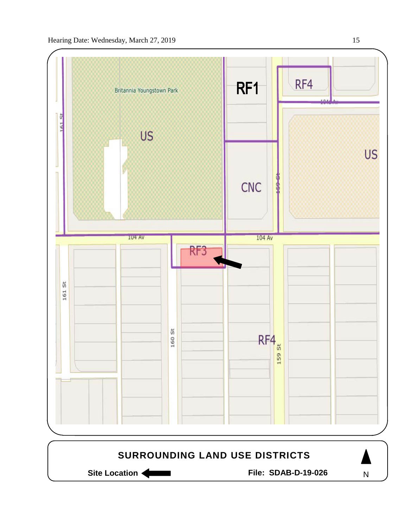

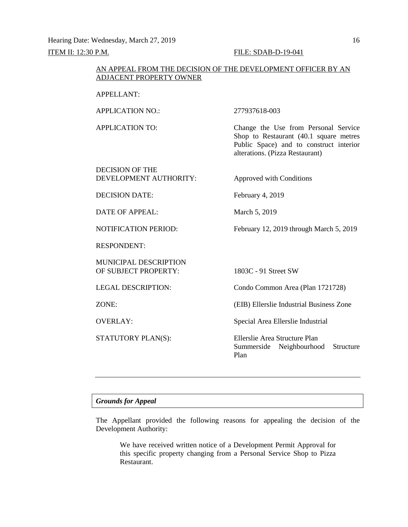Hearing Date: Wednesday, March 27, 2019 16

# ITEM II: 12:30 P.M. FILE: SDAB-D-19-041

# AN APPEAL FROM THE DECISION OF THE DEVELOPMENT OFFICER BY AN ADJACENT PROPERTY OWNER

# APPELLANT:

APPLICATION NO.: 277937618-003

APPLICATION TO: Change the Use from Personal Service Shop to Restaurant (40.1 square metres Public Space) and to construct interior alterations. (Pizza Restaurant)

DECISION OF THE DEVELOPMENT AUTHORITY: Approved with Conditions

DECISION DATE: February 4, 2019

DATE OF APPEAL: March 5, 2019

NOTIFICATION PERIOD: February 12, 2019 through March 5, 2019

RESPONDENT:

MUNICIPAL DESCRIPTION OF SUBJECT PROPERTY: 1803C - 91 Street SW

LEGAL DESCRIPTION: Condo Common Area (Plan 1721728)

ZONE: (EIB) Ellerslie Industrial Business Zone

OVERLAY: Special Area Ellerslie Industrial

STATUTORY PLAN(S): Ellerslie Area Structure Plan Summerside Neighbourhood Structure Plan

# *Grounds for Appeal*

The Appellant provided the following reasons for appealing the decision of the Development Authority:

We have received written notice of a Development Permit Approval for this specific property changing from a Personal Service Shop to Pizza Restaurant.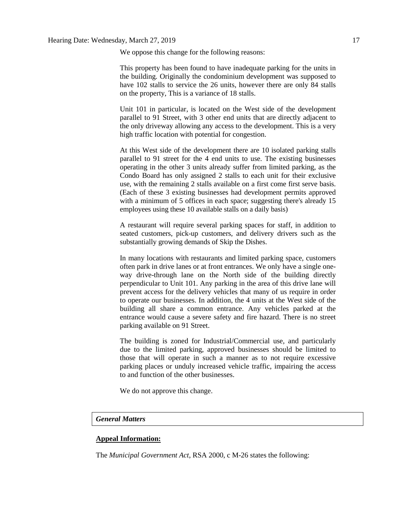We oppose this change for the following reasons:

This property has been found to have inadequate parking for the units in the building. Originally the condominium development was supposed to have 102 stalls to service the 26 units, however there are only 84 stalls on the property, This is a variance of 18 stalls.

Unit 101 in particular, is located on the West side of the development parallel to 91 Street, with 3 other end units that are directly adjacent to the only driveway allowing any access to the development. This is a very high traffic location with potential for congestion.

At this West side of the development there are 10 isolated parking stalls parallel to 91 street for the 4 end units to use. The existing businesses operating in the other 3 units already suffer from limited parking, as the Condo Board has only assigned 2 stalls to each unit for their exclusive use, with the remaining 2 stalls available on a first come first serve basis. (Each of these 3 existing businesses had development permits approved with a minimum of 5 offices in each space; suggesting there's already 15 employees using these 10 available stalls on a daily basis)

A restaurant will require several parking spaces for staff, in addition to seated customers, pick-up customers, and delivery drivers such as the substantially growing demands of Skip the Dishes.

In many locations with restaurants and limited parking space, customers often park in drive lanes or at front entrances. We only have a single oneway drive-through lane on the North side of the building directly perpendicular to Unit 101. Any parking in the area of this drive lane will prevent access for the delivery vehicles that many of us require in order to operate our businesses. In addition, the 4 units at the West side of the building all share a common entrance. Any vehicles parked at the entrance would cause a severe safety and fire hazard. There is no street parking available on 91 Street.

The building is zoned for Industrial/Commercial use, and particularly due to the limited parking, approved businesses should be limited to those that will operate in such a manner as to not require excessive parking places or unduly increased vehicle traffic, impairing the access to and function of the other businesses.

We do not approve this change.

# *General Matters*

#### **Appeal Information:**

The *Municipal Government Act*, RSA 2000, c M-26 states the following: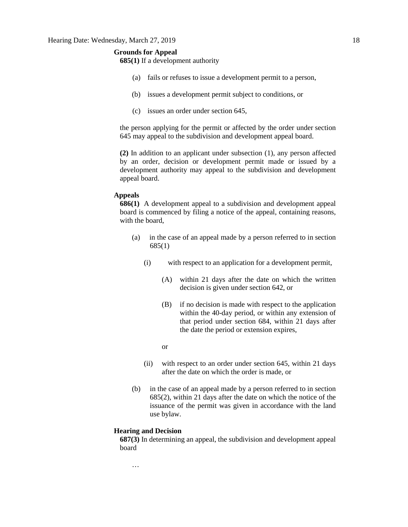# **Grounds for Appeal**

**685(1)** If a development authority

- (a) fails or refuses to issue a development permit to a person,
- (b) issues a development permit subject to conditions, or
- (c) issues an order under section 645,

the person applying for the permit or affected by the order under section 645 may appeal to the subdivision and development appeal board.

**(2)** In addition to an applicant under subsection (1), any person affected by an order, decision or development permit made or issued by a development authority may appeal to the subdivision and development appeal board.

# **Appeals**

**686(1)** A development appeal to a subdivision and development appeal board is commenced by filing a notice of the appeal, containing reasons, with the board,

- (a) in the case of an appeal made by a person referred to in section 685(1)
	- (i) with respect to an application for a development permit,
		- (A) within 21 days after the date on which the written decision is given under section 642, or
		- (B) if no decision is made with respect to the application within the 40-day period, or within any extension of that period under section 684, within 21 days after the date the period or extension expires,

or

- (ii) with respect to an order under section 645, within 21 days after the date on which the order is made, or
- (b) in the case of an appeal made by a person referred to in section 685(2), within 21 days after the date on which the notice of the issuance of the permit was given in accordance with the land use bylaw.

# **Hearing and Decision**

**687(3)** In determining an appeal, the subdivision and development appeal board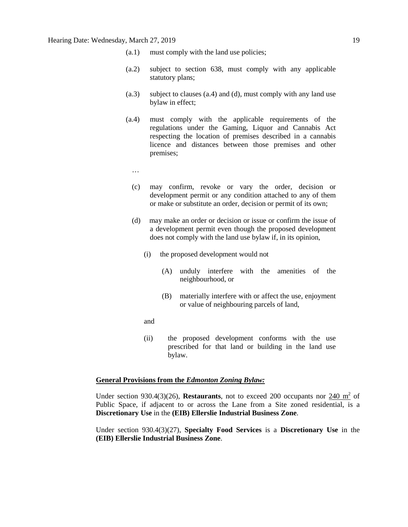- (a.1) must comply with the land use policies;
- (a.2) subject to section 638, must comply with any applicable statutory plans;
- (a.3) subject to clauses (a.4) and (d), must comply with any land use bylaw in effect;
- (a.4) must comply with the applicable requirements of the regulations under the Gaming, Liquor and Cannabis Act respecting the location of premises described in a cannabis licence and distances between those premises and other premises;
	- …
	- (c) may confirm, revoke or vary the order, decision or development permit or any condition attached to any of them or make or substitute an order, decision or permit of its own;
	- (d) may make an order or decision or issue or confirm the issue of a development permit even though the proposed development does not comply with the land use bylaw if, in its opinion,
		- (i) the proposed development would not
			- (A) unduly interfere with the amenities of the neighbourhood, or
			- (B) materially interfere with or affect the use, enjoyment or value of neighbouring parcels of land,
		- and
		- (ii) the proposed development conforms with the use prescribed for that land or building in the land use bylaw.

#### **General Provisions from the** *Edmonton Zoning Bylaw:*

Under section 930.4(3)(26), **Restaurants**, not to exceed 200 occupants nor 240 m<sup>2</sup> of Public Space, if adjacent to or across the Lane from a Site zoned residential, is a **Discretionary Use** in the **(EIB) Ellerslie Industrial Business Zone**.

Under section 930.4(3)(27), **Specialty Food Services** is a **Discretionary Use** in the **(EIB) Ellerslie Industrial Business Zone**.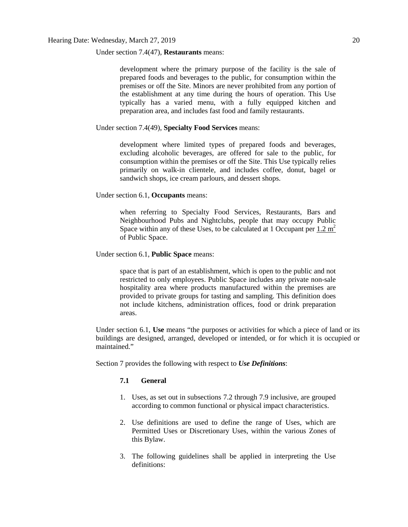Under section 7.4(47), **Restaurants** means:

development where the primary purpose of the facility is the sale of prepared foods and beverages to the public, for consumption within the premises or off the Site. Minors are never prohibited from any portion of the establishment at any time during the hours of operation. This Use typically has a varied menu, with a fully equipped kitchen and preparation area, and includes fast food and family restaurants.

# Under section 7.4(49), **Specialty Food Services** means:

development where limited types of prepared foods and beverages, excluding alcoholic beverages, are offered for sale to the public, for consumption within the premises or off the Site. This Use typically relies primarily on walk-in clientele, and includes coffee, donut, bagel or sandwich shops, ice cream parlours, and dessert shops.

# Under section 6.1, **Occupants** means:

when referring to Specialty Food Services, Restaurants, Bars and Neighbourhood Pubs and Nightclubs, people that may occupy Public Space within any of these Uses, to be calculated at 1 Occupant per  $1.2 \text{ m}^2$ of Public Space.

# Under section 6.1, **Public Space** means:

space that is part of an establishment, which is open to the public and not restricted to only employees. Public Space includes any private non-sale hospitality area where products manufactured within the premises are provided to private groups for tasting and sampling. This definition does not include kitchens, administration offices, food or drink preparation areas.

Under section 6.1, **Use** means "the purposes or activities for which a piece of land or its buildings are designed, arranged, developed or intended, or for which it is occupied or maintained."

Section 7 provides the following with respect to *Use Definitions*:

# **7.1 General**

- 1. Uses, as set out in subsections 7.2 through 7.9 inclusive, are grouped according to common functional or physical impact characteristics.
- 2. Use definitions are used to define the range of Uses, which are Permitted Uses or Discretionary Uses, within the various Zones of this Bylaw.
- 3. The following guidelines shall be applied in interpreting the Use definitions: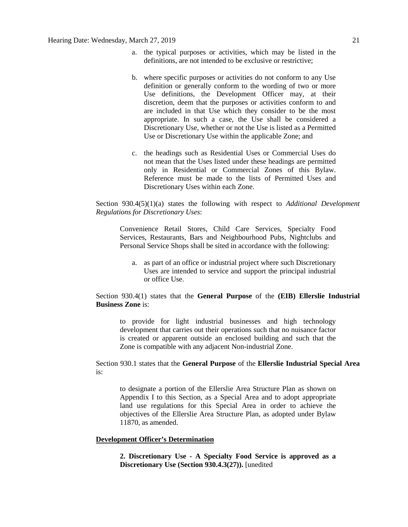- a. the typical purposes or activities, which may be listed in the definitions, are not intended to be exclusive or restrictive;
- b. where specific purposes or activities do not conform to any Use definition or generally conform to the wording of two or more Use definitions, the Development Officer may, at their discretion, deem that the purposes or activities conform to and are included in that Use which they consider to be the most appropriate. In such a case, the Use shall be considered a Discretionary Use, whether or not the Use is listed as a Permitted Use or Discretionary Use within the applicable Zone; and
- c. the headings such as Residential Uses or Commercial Uses do not mean that the Uses listed under these headings are permitted only in Residential or Commercial Zones of this Bylaw. Reference must be made to the lists of Permitted Uses and Discretionary Uses within each Zone.

Section 930.4(5)(1)(a) states the following with respect to *Additional Development Regulations for Discretionary Uses*:

Convenience Retail Stores, Child Care Services, Specialty Food Services, Restaurants, Bars and Neighbourhood Pubs, Nightclubs and Personal Service Shops shall be sited in accordance with the following:

a. as part of an office or industrial project where such Discretionary Uses are intended to service and support the principal industrial or office Use.

# Section 930.4(1) states that the **General Purpose** of the **(EIB) Ellerslie Industrial Business Zone** is:

to provide for light industrial businesses and high technology development that carries out their operations such that no nuisance factor is created or apparent outside an enclosed building and such that the Zone is compatible with any adjacent Non-industrial Zone.

Section 930.1 states that the **General Purpose** of the **Ellerslie Industrial Special Area** is:

to designate a portion of the Ellerslie Area Structure Plan as shown on Appendix I to this Section, as a Special Area and to adopt appropriate land use regulations for this Special Area in order to achieve the objectives of the Ellerslie Area Structure Plan, as adopted under Bylaw 11870, as amended.

# **Development Officer's Determination**

**2. Discretionary Use - A Specialty Food Service is approved as a Discretionary Use (Section 930.4.3(27)).** [unedited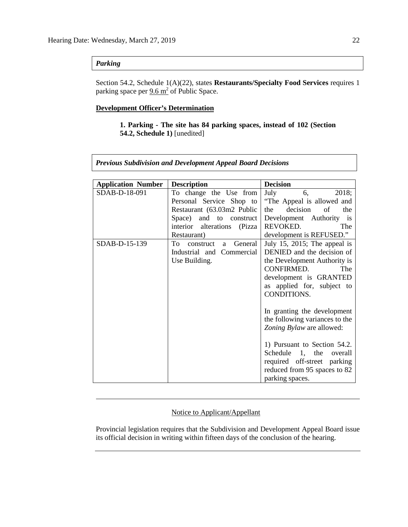# *Parking*

Section 54.2, Schedule 1(A)(22), states **Restaurants/Specialty Food Services** requires 1 parking space per  $9.6 \text{ m}^2$  of Public Space.

# **Development Officer's Determination**

# **1. Parking - The site has 84 parking spaces, instead of 102 (Section 54.2, Schedule 1)** [unedited]

*Previous Subdivision and Development Appeal Board Decisions*

| <b>Application Number</b> | <b>Description</b>                | <b>Decision</b>                |
|---------------------------|-----------------------------------|--------------------------------|
| SDAB-D-18-091             | To change the Use from            | July<br>6,<br>2018;            |
|                           | Personal Service Shop to          | "The Appeal is allowed and     |
|                           | Restaurant (63.03m2 Public        | decision<br>of<br>the<br>the   |
|                           | Space) and to construct           | Development Authority is       |
|                           | interior alterations (Pizza       | REVOKED.<br>The                |
|                           | Restaurant)                       | development is REFUSED."       |
| SDAB-D-15-139             | To<br>General<br>construct<br>a a | July 15, 2015; The appeal is   |
|                           | Industrial and Commercial         | DENIED and the decision of     |
|                           | Use Building.                     | the Development Authority is   |
|                           |                                   | CONFIRMED.<br>The              |
|                           |                                   | development is GRANTED         |
|                           |                                   | as applied for, subject to     |
|                           |                                   | CONDITIONS.                    |
|                           |                                   |                                |
|                           |                                   | In granting the development    |
|                           |                                   | the following variances to the |
|                           |                                   | Zoning Bylaw are allowed:      |
|                           |                                   |                                |
|                           |                                   | 1) Pursuant to Section 54.2.   |
|                           |                                   | Schedule 1, the<br>overall     |
|                           |                                   | required off-street parking    |
|                           |                                   | reduced from 95 spaces to 82   |
|                           |                                   | parking spaces.                |

# Notice to Applicant/Appellant

Provincial legislation requires that the Subdivision and Development Appeal Board issue its official decision in writing within fifteen days of the conclusion of the hearing.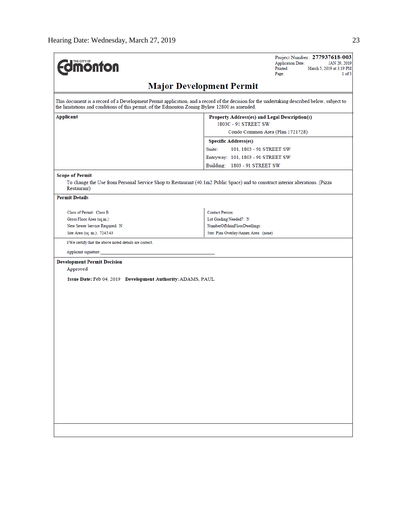| <b>Umönton</b>                                                                                | Project Number: 277937618-003<br><b>Application Date:</b><br>JAN 29, 2019<br>Printed:<br>March 5, 2019 at 3:19 PM<br>Page:<br>1 of 3        |
|-----------------------------------------------------------------------------------------------|---------------------------------------------------------------------------------------------------------------------------------------------|
|                                                                                               | <b>Major Development Permit</b>                                                                                                             |
| the limitations and conditions of this permit, of the Edmonton Zoning Bylaw 12800 as amended. | This document is a record of a Development Permit application, and a record of the decision for the undertaking described below, subject to |
| Applicant                                                                                     | Property Address(es) and Legal Description(s)<br>1803C - 91 STREET SW                                                                       |
|                                                                                               | Condo Common Area (Plan 1721728)                                                                                                            |
|                                                                                               | <b>Specific Address(es)</b>                                                                                                                 |
|                                                                                               | Suite:<br>101, 1803 - 91 STREET SW                                                                                                          |
|                                                                                               |                                                                                                                                             |
|                                                                                               | Entryway: 101, 1803 - 91 STREET SW                                                                                                          |
|                                                                                               | Building: 1803 - 91 STREET SW                                                                                                               |
| <b>Scope of Permit</b><br>Restaurant)                                                         | To change the Use from Personal Service Shop to Restaurant (40.1m2 Public Space) and to construct interior alterations. (Pizza              |
| <b>Permit Details</b>                                                                         |                                                                                                                                             |
|                                                                                               |                                                                                                                                             |
| Class of Permit: Class B                                                                      | <b>Contact Person:</b>                                                                                                                      |
| Gross Floor Area (sq.m.):                                                                     | Lot Grading Needed?: N                                                                                                                      |
| New Sewer Service Required: N                                                                 | NumberOfMainFloorDwellings:                                                                                                                 |
| Site Area (sq. m.): 7245.43                                                                   | Stat. Plan Overlay/Annex Area: (none)                                                                                                       |
| I/We certify that the above noted details are correct.                                        |                                                                                                                                             |
| Applicant signature:                                                                          |                                                                                                                                             |
| <b>Development Permit Decision</b>                                                            |                                                                                                                                             |
| Approved                                                                                      |                                                                                                                                             |
|                                                                                               |                                                                                                                                             |
| Issue Date: Feb 04, 2019 Development Authority: ADAMS, PAUL                                   |                                                                                                                                             |
|                                                                                               |                                                                                                                                             |
|                                                                                               |                                                                                                                                             |
|                                                                                               |                                                                                                                                             |
|                                                                                               |                                                                                                                                             |
|                                                                                               |                                                                                                                                             |
|                                                                                               |                                                                                                                                             |
|                                                                                               |                                                                                                                                             |
|                                                                                               |                                                                                                                                             |
|                                                                                               |                                                                                                                                             |
|                                                                                               |                                                                                                                                             |
|                                                                                               |                                                                                                                                             |
|                                                                                               |                                                                                                                                             |
|                                                                                               |                                                                                                                                             |
|                                                                                               |                                                                                                                                             |
|                                                                                               |                                                                                                                                             |
|                                                                                               |                                                                                                                                             |
|                                                                                               |                                                                                                                                             |
|                                                                                               |                                                                                                                                             |
|                                                                                               |                                                                                                                                             |
|                                                                                               |                                                                                                                                             |
|                                                                                               |                                                                                                                                             |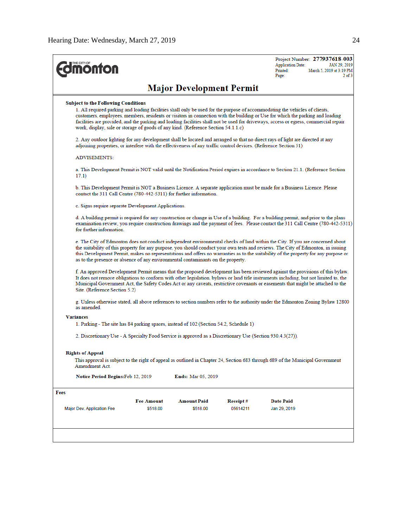| <b><i><u><u><b>MONTON</b></u></u></i></b>                                                                        |                                                                                                                                                                                                                                                                         |                                 |          | Project Number: 277937618-003<br><b>Application Date:</b><br>JAN 29, 2019<br>Printed:<br>March 5, 2019 at 3:19 PM<br>$2$ of $3$<br>Page:                                                                                                                                                                                                                                                                  |  |  |
|------------------------------------------------------------------------------------------------------------------|-------------------------------------------------------------------------------------------------------------------------------------------------------------------------------------------------------------------------------------------------------------------------|---------------------------------|----------|-----------------------------------------------------------------------------------------------------------------------------------------------------------------------------------------------------------------------------------------------------------------------------------------------------------------------------------------------------------------------------------------------------------|--|--|
|                                                                                                                  |                                                                                                                                                                                                                                                                         | <b>Major Development Permit</b> |          |                                                                                                                                                                                                                                                                                                                                                                                                           |  |  |
| <b>Subject to the Following Conditions</b>                                                                       |                                                                                                                                                                                                                                                                         |                                 |          |                                                                                                                                                                                                                                                                                                                                                                                                           |  |  |
| work, display, sale or storage of goods of any kind. (Reference Section 54.1.1.c)                                |                                                                                                                                                                                                                                                                         |                                 |          | 1. All required parking and loading facilities shall only be used for the purpose of accommodating the vehicles of clients,<br>customers, employees, members, residents or visitors in connection with the building or Use for which the parking and loading<br>facilities are provided, and the parking and loading facilities shall not be used for driveways, access or egress, commercial repair      |  |  |
| adjoining properties, or interfere with the effectiveness of any traffic control devices. (Reference Section 51) |                                                                                                                                                                                                                                                                         |                                 |          | 2. Any outdoor lighting for any development shall be located and arranged so that no direct rays of light are directed at any                                                                                                                                                                                                                                                                             |  |  |
| <b>ADVISEMENTS:</b>                                                                                              |                                                                                                                                                                                                                                                                         |                                 |          |                                                                                                                                                                                                                                                                                                                                                                                                           |  |  |
| 17.1)                                                                                                            |                                                                                                                                                                                                                                                                         |                                 |          | a. This Development Permit is NOT valid until the Notification Period expires in accordance to Section 21.1. (Reference Section                                                                                                                                                                                                                                                                           |  |  |
| contact the 311 Call Centre (780-442-5311) for further information.                                              |                                                                                                                                                                                                                                                                         |                                 |          | b. This Development Permit is NOT a Business Licence. A separate application must be made for a Business Licence. Please                                                                                                                                                                                                                                                                                  |  |  |
| c. Signs require separate Development Applications.                                                              |                                                                                                                                                                                                                                                                         |                                 |          |                                                                                                                                                                                                                                                                                                                                                                                                           |  |  |
| for further information                                                                                          | d. A building permit is required for any construction or change in Use of a building. For a building permit, and prior to the plans<br>examination review, you require construction drawings and the payment of fees. Please contact the 311 Call Centre (780-442-5311) |                                 |          |                                                                                                                                                                                                                                                                                                                                                                                                           |  |  |
| as to the presence or absence of any environmental contaminants on the property.                                 |                                                                                                                                                                                                                                                                         |                                 |          | e. The City of Edmonton does not conduct independent environmental checks of land within the City. If you are concerned about<br>the suitability of this property for any purpose, you should conduct your own tests and reviews. The City of Edmonton, in issuing<br>this Development Permit, makes no representations and offers no warranties as to the suitability of the property for any purpose or |  |  |
| Site. (Reference Section 5.2)                                                                                    |                                                                                                                                                                                                                                                                         |                                 |          | f. An approved Development Permit means that the proposed development has been reviewed against the provisions of this bylaw.<br>It does not remove obligations to conform with other legislation, bylaws or land title instruments including, but not limited to, the<br>Municipal Government Act, the Safety Codes Act or any caveats, restrictive covenants or easements that might be attached to the |  |  |
| as amended                                                                                                       |                                                                                                                                                                                                                                                                         |                                 |          | g. Unless otherwise stated, all above references to section numbers refer to the authority under the Edmonton Zoning Bylaw 12800                                                                                                                                                                                                                                                                          |  |  |
| <b>Variances</b>                                                                                                 |                                                                                                                                                                                                                                                                         |                                 |          |                                                                                                                                                                                                                                                                                                                                                                                                           |  |  |
| 1. Parking - The site has 84 parking spaces, instead of 102 (Section 54.2, Schedule 1)                           |                                                                                                                                                                                                                                                                         |                                 |          |                                                                                                                                                                                                                                                                                                                                                                                                           |  |  |
| 2. Discretionary Use - A Specialty Food Service is approved as a Discretionary Use (Section 930.4.3(27)).        |                                                                                                                                                                                                                                                                         |                                 |          |                                                                                                                                                                                                                                                                                                                                                                                                           |  |  |
| <b>Rights of Appeal</b><br>Amendment Act.                                                                        |                                                                                                                                                                                                                                                                         |                                 |          | This approval is subject to the right of appeal as outlined in Chapter 24, Section 683 through 689 of the Municipal Government                                                                                                                                                                                                                                                                            |  |  |
| Notice Period Begins: Feb 12, 2019                                                                               |                                                                                                                                                                                                                                                                         | Ends: Mar 05, 2019              |          |                                                                                                                                                                                                                                                                                                                                                                                                           |  |  |
| Fees                                                                                                             |                                                                                                                                                                                                                                                                         |                                 |          |                                                                                                                                                                                                                                                                                                                                                                                                           |  |  |
|                                                                                                                  | <b>Fee Amount</b>                                                                                                                                                                                                                                                       | <b>Amount Paid</b>              | Receipt# | Date Paid                                                                                                                                                                                                                                                                                                                                                                                                 |  |  |
| Major Dev. Application Fee                                                                                       | \$518.00                                                                                                                                                                                                                                                                | \$518.00                        | 05614211 | Jan 29, 2019                                                                                                                                                                                                                                                                                                                                                                                              |  |  |
|                                                                                                                  |                                                                                                                                                                                                                                                                         |                                 |          |                                                                                                                                                                                                                                                                                                                                                                                                           |  |  |
|                                                                                                                  |                                                                                                                                                                                                                                                                         |                                 |          |                                                                                                                                                                                                                                                                                                                                                                                                           |  |  |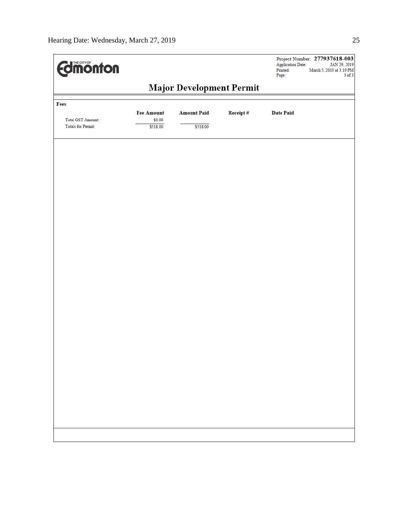| <b>Edimonton</b>         |                                 |                    |          | <b>Application Date:</b><br>Printed:<br>Page: | Project Number: 277937618-003<br>JAN 29, 2019<br>March 5, 2019 at 3:19 PM<br>$3$ of $3$ |
|--------------------------|---------------------------------|--------------------|----------|-----------------------------------------------|-----------------------------------------------------------------------------------------|
|                          | <b>Major Development Permit</b> |                    |          |                                               |                                                                                         |
| Fees                     |                                 |                    |          |                                               |                                                                                         |
| <b>Total GST Amount:</b> | <b>Fee Amount</b><br>\$0.00     | <b>Amount Paid</b> | Receipt# | <b>Date Paid</b>                              |                                                                                         |
| Totals for Permit:       | \$518.00                        | \$518.00           |          |                                               |                                                                                         |
|                          |                                 |                    |          |                                               |                                                                                         |
|                          |                                 |                    |          |                                               |                                                                                         |
|                          |                                 |                    |          |                                               |                                                                                         |
|                          |                                 |                    |          |                                               |                                                                                         |
|                          |                                 |                    |          |                                               |                                                                                         |
|                          |                                 |                    |          |                                               |                                                                                         |
|                          |                                 |                    |          |                                               |                                                                                         |
|                          |                                 |                    |          |                                               |                                                                                         |
|                          |                                 |                    |          |                                               |                                                                                         |
|                          |                                 |                    |          |                                               |                                                                                         |
|                          |                                 |                    |          |                                               |                                                                                         |
|                          |                                 |                    |          |                                               |                                                                                         |
|                          |                                 |                    |          |                                               |                                                                                         |
|                          |                                 |                    |          |                                               |                                                                                         |
|                          |                                 |                    |          |                                               |                                                                                         |
|                          |                                 |                    |          |                                               |                                                                                         |
|                          |                                 |                    |          |                                               |                                                                                         |
|                          |                                 |                    |          |                                               |                                                                                         |
|                          |                                 |                    |          |                                               |                                                                                         |
|                          |                                 |                    |          |                                               |                                                                                         |
|                          |                                 |                    |          |                                               |                                                                                         |
|                          |                                 |                    |          |                                               |                                                                                         |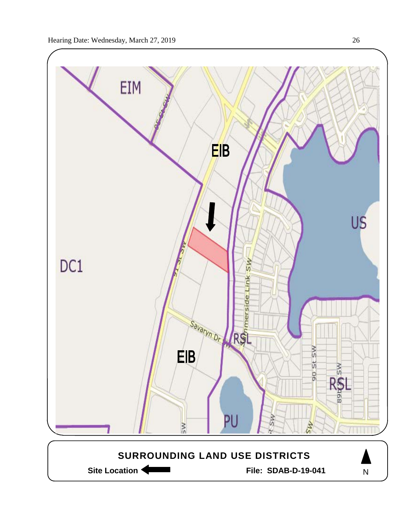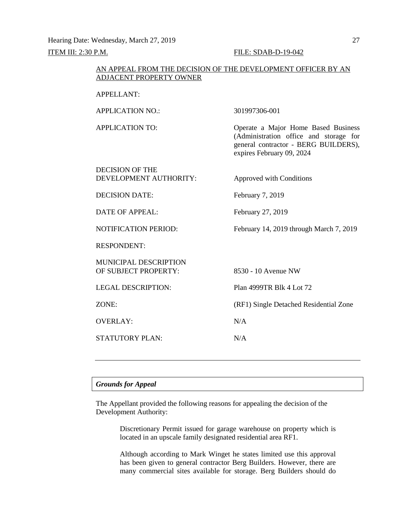Hearing Date: Wednesday, March 27, 2019 27 **ITEM III: 2:30 P.M. FILE: SDAB-D-19-042** 

# AN APPEAL FROM THE DECISION OF THE DEVELOPMENT OFFICER BY AN ADJACENT PROPERTY OWNER

| <b>APPELLANT:</b>                                |                                                                                                                                                    |
|--------------------------------------------------|----------------------------------------------------------------------------------------------------------------------------------------------------|
| <b>APPLICATION NO.:</b>                          | 301997306-001                                                                                                                                      |
| <b>APPLICATION TO:</b>                           | Operate a Major Home Based Business<br>(Administration office and storage for<br>general contractor - BERG BUILDERS),<br>expires February 09, 2024 |
| <b>DECISION OF THE</b><br>DEVELOPMENT AUTHORITY: | Approved with Conditions                                                                                                                           |
| <b>DECISION DATE:</b>                            | February 7, 2019                                                                                                                                   |
| <b>DATE OF APPEAL:</b>                           | February 27, 2019                                                                                                                                  |
| <b>NOTIFICATION PERIOD:</b>                      | February 14, 2019 through March 7, 2019                                                                                                            |
| <b>RESPONDENT:</b>                               |                                                                                                                                                    |
| MUNICIPAL DESCRIPTION<br>OF SUBJECT PROPERTY:    | 8530 - 10 Avenue NW                                                                                                                                |
| <b>LEGAL DESCRIPTION:</b>                        | Plan 4999TR Blk 4 Lot 72                                                                                                                           |
| ZONE:                                            | (RF1) Single Detached Residential Zone                                                                                                             |
| <b>OVERLAY:</b>                                  | N/A                                                                                                                                                |
| <b>STATUTORY PLAN:</b>                           | N/A                                                                                                                                                |
|                                                  |                                                                                                                                                    |

# *Grounds for Appeal*

The Appellant provided the following reasons for appealing the decision of the Development Authority:

> Discretionary Permit issued for garage warehouse on property which is located in an upscale family designated residential area RF1.

> Although according to Mark Winget he states limited use this approval has been given to general contractor Berg Builders. However, there are many commercial sites available for storage. Berg Builders should do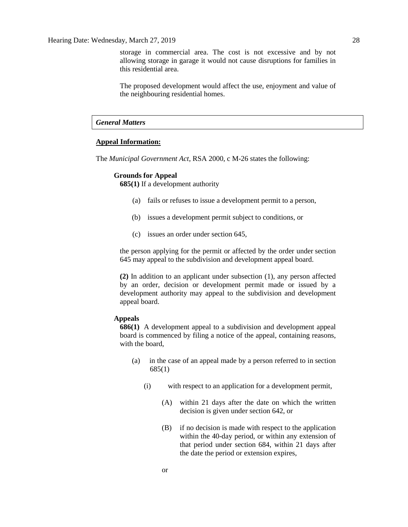storage in commercial area. The cost is not excessive and by not allowing storage in garage it would not cause disruptions for families in this residential area.

The proposed development would affect the use, enjoyment and value of the neighbouring residential homes.

# *General Matters*

# **Appeal Information:**

The *Municipal Government Act*, RSA 2000, c M-26 states the following:

## **Grounds for Appeal**

**685(1)** If a development authority

- (a) fails or refuses to issue a development permit to a person,
- (b) issues a development permit subject to conditions, or
- (c) issues an order under section 645,

the person applying for the permit or affected by the order under section 645 may appeal to the subdivision and development appeal board.

**(2)** In addition to an applicant under subsection (1), any person affected by an order, decision or development permit made or issued by a development authority may appeal to the subdivision and development appeal board.

# **Appeals**

**686(1)** A development appeal to a subdivision and development appeal board is commenced by filing a notice of the appeal, containing reasons, with the board,

- (a) in the case of an appeal made by a person referred to in section 685(1)
	- (i) with respect to an application for a development permit,
		- (A) within 21 days after the date on which the written decision is given under section 642, or
		- (B) if no decision is made with respect to the application within the 40-day period, or within any extension of that period under section 684, within 21 days after the date the period or extension expires,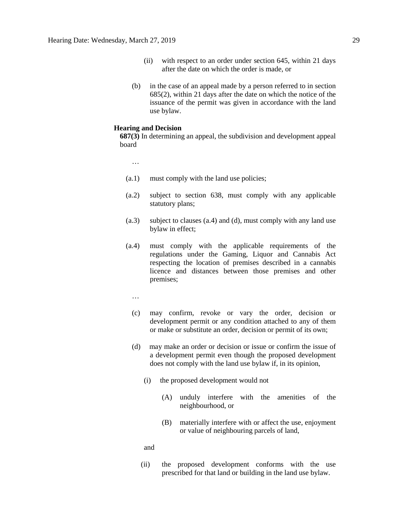- (ii) with respect to an order under section 645, within 21 days after the date on which the order is made, or
- (b) in the case of an appeal made by a person referred to in section 685(2), within 21 days after the date on which the notice of the issuance of the permit was given in accordance with the land use bylaw.

#### **Hearing and Decision**

**687(3)** In determining an appeal, the subdivision and development appeal board

…

- (a.1) must comply with the land use policies;
- (a.2) subject to section 638, must comply with any applicable statutory plans;
- (a.3) subject to clauses (a.4) and (d), must comply with any land use bylaw in effect;
- (a.4) must comply with the applicable requirements of the regulations under the Gaming, Liquor and Cannabis Act respecting the location of premises described in a cannabis licence and distances between those premises and other premises;
	- …
	- (c) may confirm, revoke or vary the order, decision or development permit or any condition attached to any of them or make or substitute an order, decision or permit of its own;
	- (d) may make an order or decision or issue or confirm the issue of a development permit even though the proposed development does not comply with the land use bylaw if, in its opinion,
		- (i) the proposed development would not
			- (A) unduly interfere with the amenities of the neighbourhood, or
			- (B) materially interfere with or affect the use, enjoyment or value of neighbouring parcels of land,

and

(ii) the proposed development conforms with the use prescribed for that land or building in the land use bylaw.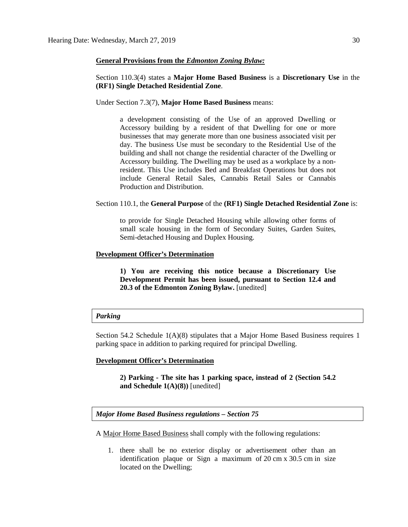## **General Provisions from the** *Edmonton Zoning Bylaw:*

Section 110.3(4) states a **Major Home Based Business** is a **Discretionary Use** in the **(RF1) Single Detached Residential Zone**.

Under Section 7.3(7), **Major Home Based Business** means:

a development consisting of the Use of an approved Dwelling or Accessory building by a resident of that Dwelling for one or more businesses that may generate more than one business associated visit per day. The business Use must be secondary to the Residential Use of the building and shall not change the residential character of the Dwelling or Accessory building. The Dwelling may be used as a workplace by a nonresident. This Use includes Bed and Breakfast Operations but does not include General Retail Sales, Cannabis Retail Sales or Cannabis Production and Distribution.

#### Section 110.1, the **General Purpose** of the **(RF1) Single Detached Residential Zone** is:

to provide for Single Detached Housing while allowing other forms of small scale housing in the form of Secondary Suites, Garden Suites, Semi-detached Housing and Duplex Housing.

# **Development Officer's Determination**

**1) You are receiving this notice because a Discretionary Use Development Permit has been issued, pursuant to Section 12.4 and 20.3 of the Edmonton Zoning Bylaw.** [unedited]

#### *Parking*

Section 54.2 Schedule 1(A)(8) stipulates that a Major Home Based Business requires 1 parking space in addition to parking required for principal Dwelling.

## **Development Officer's Determination**

**2) Parking - The site has 1 parking space, instead of 2 (Section 54.2 and Schedule 1(A)(8))** [unedited]

*Major Home Based Business regulations – Section 75*

A [Major Home Based Business](javascript:void(0);) shall comply with the following regulations:

1. there shall be no exterior display or advertisement other than an identification plaque or Sign a maximum of 20 [cm](javascript:void(0);) x [30.5](javascript:void(0);) cm in size located on the Dwelling;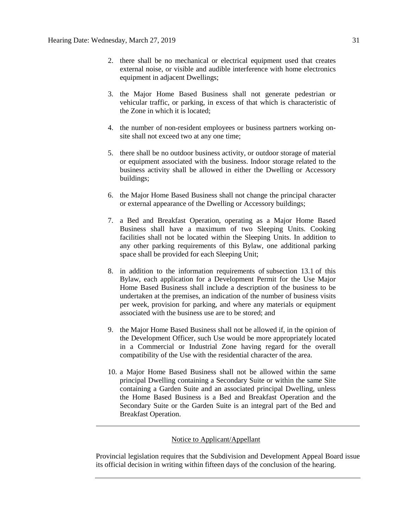- 2. there shall be no mechanical or electrical equipment used that creates external noise, or visible and audible interference with home electronics equipment in adjacent Dwellings;
- 3. the Major Home Based Business shall not generate pedestrian or vehicular traffic, or parking, in excess of that which is characteristic of the Zone in which it is located;
- 4. the number of non-resident employees or business partners working onsite shall not exceed two at any one time;
- 5. there shall be no outdoor business activity, or outdoor storage of material or equipment associated with the business. Indoor storage related to the business activity shall be allowed in either the Dwelling or Accessory buildings;
- 6. the Major Home Based Business shall not change the principal character or external appearance of the [Dwelling](javascript:void(0);) or [Accessory](javascript:void(0);) buildings;
- 7. a Bed and Breakfast Operation, operating as a Major Home Based Business shall have a maximum of two Sleeping Units. Cooking facilities shall not be located within the Sleeping Units. In addition to any other parking requirements of this Bylaw, one additional parking space shall be provided for each Sleeping Unit;
- 8. in addition to the information requirements of [subsection 13.1](https://webdocs.edmonton.ca/InfraPlan/zoningbylaw/ZoningBylaw/Part1/Administrative/13__Development_Permit_Application.htm) of this Bylaw, each application for a Development Permit for the Use Major Home Based Business shall include a description of the business to be undertaken at the premises, an indication of the number of business visits per week, provision for parking, and where any materials or equipment associated with the business use are to be stored; and
- 9. the [Major Home Based Business](javascript:void(0);) shall not be allowed if, in the opinion of the Development Officer, such Use would be more appropriately located in a Commercial or Industrial Zone having regard for the overall compatibility of the Use with the residential character of the area.
- 10. a Major Home Based Business shall not be allowed within the same principal Dwelling containing a Secondary Suite or within the same Site containing a Garden Suite and an associated principal Dwelling, unless the Home Based Business is a Bed and Breakfast Operation and the Secondary Suite or the Garden Suite is an integral part of the Bed and Breakfast Operation.

# Notice to Applicant/Appellant

Provincial legislation requires that the Subdivision and Development Appeal Board issue its official decision in writing within fifteen days of the conclusion of the hearing.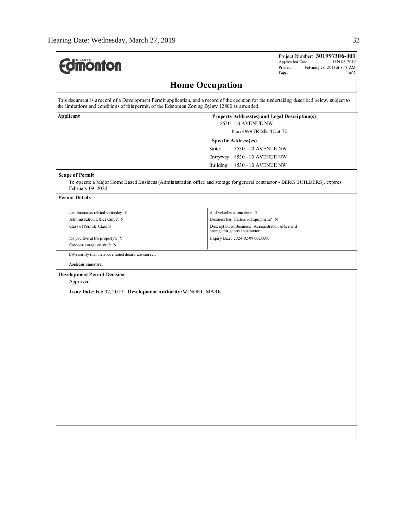| <b>Jmönton</b>                                                                                | Project Number: 301997306-001<br>Application Date:<br>JAN 08, 2019<br>Printed:<br>February 28, 2019 at 8:48 AM<br>Page:<br>$1$ of $3$       |
|-----------------------------------------------------------------------------------------------|---------------------------------------------------------------------------------------------------------------------------------------------|
|                                                                                               | <b>Home Occupation</b>                                                                                                                      |
| the limitations and conditions of this permit, of the Edmonton Zoning Bylaw 12800 as amended. | This document is a record of a Development Permit application, and a record of the decision for the undertaking described below, subject to |
| Applicant                                                                                     | Property Address(es) and Legal Description(s)                                                                                               |
|                                                                                               | 8530 - 10 AVENUE NW                                                                                                                         |
|                                                                                               | Plan 4999TR Blk 4 Lot 72                                                                                                                    |
|                                                                                               | <b>Specific Address(es)</b>                                                                                                                 |
|                                                                                               | Suite:<br>8530 - 10 AVENUE NW                                                                                                               |
|                                                                                               | Entryway: 8530 - 10 AVENUE NW                                                                                                               |
|                                                                                               | Building: 8530 - 10 AVENUE NW                                                                                                               |
| <b>Scope of Permit</b><br>February 09, 2024.                                                  | To operate a Major Home Based Business (Administration office and storage for general contractor - BERG BUILDERS), expires                  |
| <b>Permit Details</b>                                                                         |                                                                                                                                             |
| # of businesss related visits/day: 0                                                          | # of vehicles at one time: 0                                                                                                                |
| Administration Office Only?: N                                                                | Business has Trailers or Equipment?: N                                                                                                      |
| Class of Permit: Class B                                                                      | Description of Business: Administration office and                                                                                          |
|                                                                                               | storage for general contractor                                                                                                              |
| Do you live at the property?: Y<br>Outdoor storage on site?: N                                | Expiry Date: 2024-02-09 00:00:00                                                                                                            |
|                                                                                               |                                                                                                                                             |
| I/We certify that the above noted details are correct.                                        |                                                                                                                                             |
| Applicant signature:                                                                          |                                                                                                                                             |
| <b>Development Permit Decision</b>                                                            |                                                                                                                                             |
| Approved                                                                                      |                                                                                                                                             |
| Issue Date: Feb 07, 2019 Development Authority: WINGET, MARK                                  |                                                                                                                                             |
|                                                                                               |                                                                                                                                             |
|                                                                                               |                                                                                                                                             |
|                                                                                               |                                                                                                                                             |
|                                                                                               |                                                                                                                                             |
|                                                                                               |                                                                                                                                             |
|                                                                                               |                                                                                                                                             |
|                                                                                               |                                                                                                                                             |
|                                                                                               |                                                                                                                                             |
|                                                                                               |                                                                                                                                             |
|                                                                                               |                                                                                                                                             |
|                                                                                               |                                                                                                                                             |
|                                                                                               |                                                                                                                                             |
|                                                                                               |                                                                                                                                             |
|                                                                                               |                                                                                                                                             |
|                                                                                               |                                                                                                                                             |
|                                                                                               |                                                                                                                                             |
|                                                                                               |                                                                                                                                             |
|                                                                                               |                                                                                                                                             |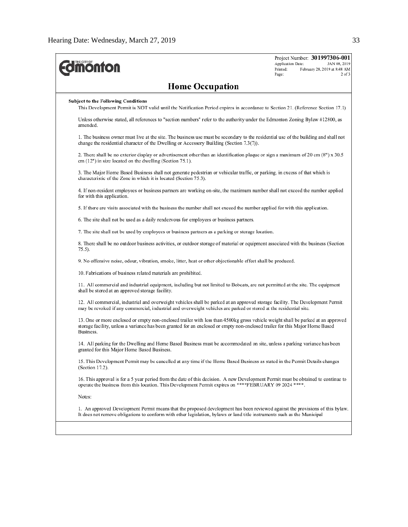| <b><i><u><u>monton</u></u></i></b>                                                                                                                                                                                                                                            | Project Number: 301997306-001<br>Application Date:<br>JAN 08, 2019<br>Printed:<br>February 28, 2019 at 8:48 AM<br>Page:<br>$2$ of $3$ |
|-------------------------------------------------------------------------------------------------------------------------------------------------------------------------------------------------------------------------------------------------------------------------------|---------------------------------------------------------------------------------------------------------------------------------------|
| <b>Home Occupation</b>                                                                                                                                                                                                                                                        |                                                                                                                                       |
| <b>Subject to the Following Conditions</b><br>This Development Permit is NOT valid until the Notification Period expires in accordance to Section 21. (Reference Section 17.1)                                                                                                |                                                                                                                                       |
| Unless otherwise stated, all references to "section numbers" refer to the authority under the Edmonton Zoning Bylaw #12800, as<br>amended.                                                                                                                                    |                                                                                                                                       |
| 1. The business owner must live at the site. The business use must be secondary to the residential use of the building and shall not<br>change the residential character of the Dwelling or Accessory Building (Section $7.3(7)$ ).                                           |                                                                                                                                       |
| 2. There shall be no exterior display or advertisement other than an identification plaque or sign a maximum of 20 cm (8") x 30.5<br>$cm (12")$ in size located on the dwelling (Section 75.1).                                                                               |                                                                                                                                       |
| 3. The Major Home Based Business shall not generate pedestrian or vehicular traffic, or parking, in excess of that which is<br>characteristic of the Zone in which it is located (Section 75.3).                                                                              |                                                                                                                                       |
| 4. If non-resident employees or business partners are working on-site, the maximum number shall not exceed the number applied<br>for with this application.                                                                                                                   |                                                                                                                                       |
| 5. If there are visits associated with the business the number shall not exceed the number applied for with this application.                                                                                                                                                 |                                                                                                                                       |
| 6. The site shall not be used as a daily rendezyous for employees or business partners.                                                                                                                                                                                       |                                                                                                                                       |
| 7. The site shall not be used by employees or business partners as a parking or storage location.                                                                                                                                                                             |                                                                                                                                       |
| 8. There shall be no outdoor business activities, or outdoor storage of material or equipment associated with the business (Section<br>75.5).                                                                                                                                 |                                                                                                                                       |
| 9. No offensive noise, odour, vibration, smoke, litter, heat or other objectionable effect shall be produced.                                                                                                                                                                 |                                                                                                                                       |
| 10. Fabrications of business related materials are prohibited.                                                                                                                                                                                                                |                                                                                                                                       |
| 11. All commercial and industrial equipment, including but not limited to Bobcats, are not permitted at the site. The equipment<br>shall be stored at an approved storage facility.                                                                                           |                                                                                                                                       |
| 12. All commercial, industrial and overweight vehicles shall be parked at an approved storage facility. The Development Permit<br>may be revoked if any commercial, industrial and overweight vehicles are parked or stored at the residential site.                          |                                                                                                                                       |
| 13. One or more enclosed or empty non-enclosed trailer with less than 4500kg gross vehicle weight shall be parked at an approved<br>storage facility, unless a variance has been granted for an enclosed or empty non-enclosed trailer for this Major Home Based<br>Business. |                                                                                                                                       |
| 14. All parking for the Dwelling and Home Based Business must be accommodated on site, unless a parking variance has been<br>granted for this Major Home Based Business.                                                                                                      |                                                                                                                                       |
| 15. This Development Permit may be cancelled at any time if the Home Based Business as stated in the Permit Details changes<br>(Section 17.2).                                                                                                                                |                                                                                                                                       |
| 16. This approval is for a 5 year period from the date of this decision. A new Development Permit must be obtained to continue to<br>operate the business from this location. This Development Permit expires on ****FEBRUARY 09 2024 ****.                                   |                                                                                                                                       |
| Notes:                                                                                                                                                                                                                                                                        |                                                                                                                                       |
| 1. An approved Development Permit means that the proposed development has been reviewed against the provisions of this bylaw.<br>It does not remove obligations to conform with other legislation, bylaws or land title instruments such as the Municipal                     |                                                                                                                                       |
|                                                                                                                                                                                                                                                                               |                                                                                                                                       |
|                                                                                                                                                                                                                                                                               |                                                                                                                                       |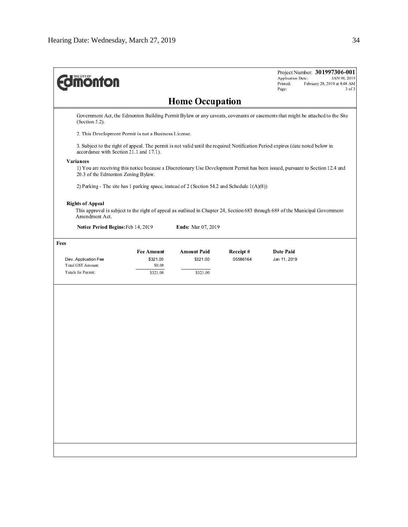| <b><i><u><u>monton</u></u></i></b>                                                                                                             |                    |                        |                      | Project Number: 301997306-001<br>Application Date:<br>JAN 08, 2019<br>Printed:<br>February 28, 2019 at 8:48 AM<br>Page:<br>3 of 3 |
|------------------------------------------------------------------------------------------------------------------------------------------------|--------------------|------------------------|----------------------|-----------------------------------------------------------------------------------------------------------------------------------|
|                                                                                                                                                |                    | <b>Home Occupation</b> |                      |                                                                                                                                   |
| (Section 5.2).                                                                                                                                 |                    |                        |                      | Government Act, the Edmonton Building Permit Bylaw or any caveats, covenants or easements that might be attached to the Site      |
| 2. This Development Permit is not a Business License.                                                                                          |                    |                        |                      |                                                                                                                                   |
| accordance with Section 21.1 and 17.1).                                                                                                        |                    |                        |                      | 3. Subject to the right of appeal. The permit is not valid until the required Notification Period expires (date noted below in    |
| Variances<br>20.3 of the Edmonton Zoning Bylaw.<br>2) Parking - The site has 1 parking space, instead of 2 (Section 54.2 and Schedule 1(A)(8)) |                    |                        |                      | 1) You are receiving this notice because a Discretionary Use Development Permit has been issued, pursuant to Section 12.4 and     |
| <b>Rights of Appeal</b><br>Amendment Act.                                                                                                      |                    |                        |                      | This approval is subject to the right of appeal as outlined in Chapter 24, Section 683 through 689 of the Municipal Government    |
| Notice Period Begins: Feb 14, 2019                                                                                                             |                    | Ends: Mar 07, 2019     |                      |                                                                                                                                   |
| Fees                                                                                                                                           |                    |                        |                      |                                                                                                                                   |
|                                                                                                                                                | <b>Fee Amount</b>  | <b>Amount Paid</b>     | Receipt#<br>05586164 | Date Paid                                                                                                                         |
| Dev. Application Fee<br>Total GST Amount:                                                                                                      | \$321.00<br>\$0.00 | \$321.00               |                      | Jan 11, 2019                                                                                                                      |
| Totals for Permit:                                                                                                                             | \$321.00           | \$321.00               |                      |                                                                                                                                   |
|                                                                                                                                                |                    |                        |                      |                                                                                                                                   |
|                                                                                                                                                |                    |                        |                      |                                                                                                                                   |
|                                                                                                                                                |                    |                        |                      |                                                                                                                                   |
|                                                                                                                                                |                    |                        |                      |                                                                                                                                   |
|                                                                                                                                                |                    |                        |                      |                                                                                                                                   |
|                                                                                                                                                |                    |                        |                      |                                                                                                                                   |
|                                                                                                                                                |                    |                        |                      |                                                                                                                                   |
|                                                                                                                                                |                    |                        |                      |                                                                                                                                   |
|                                                                                                                                                |                    |                        |                      |                                                                                                                                   |